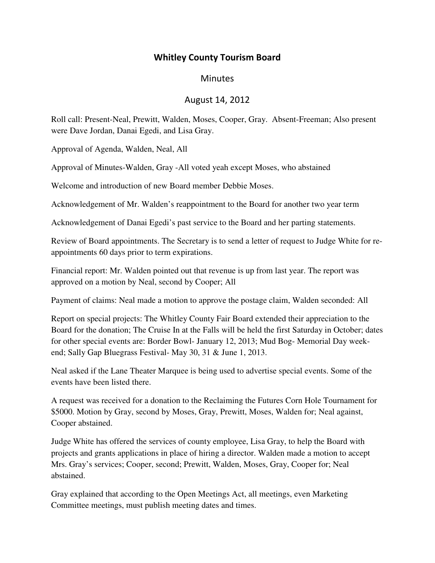## Whitley County Tourism Board

## **Minutes**

## August 14, 2012

Roll call: Present-Neal, Prewitt, Walden, Moses, Cooper, Gray. Absent-Freeman; Also present were Dave Jordan, Danai Egedi, and Lisa Gray.

Approval of Agenda, Walden, Neal, All

Approval of Minutes-Walden, Gray -All voted yeah except Moses, who abstained

Welcome and introduction of new Board member Debbie Moses.

Acknowledgement of Mr. Walden's reappointment to the Board for another two year term

Acknowledgement of Danai Egedi's past service to the Board and her parting statements.

Review of Board appointments. The Secretary is to send a letter of request to Judge White for reappointments 60 days prior to term expirations.

Financial report: Mr. Walden pointed out that revenue is up from last year. The report was approved on a motion by Neal, second by Cooper; All

Payment of claims: Neal made a motion to approve the postage claim, Walden seconded: All

Report on special projects: The Whitley County Fair Board extended their appreciation to the Board for the donation; The Cruise In at the Falls will be held the first Saturday in October; dates for other special events are: Border Bowl- January 12, 2013; Mud Bog- Memorial Day weekend; Sally Gap Bluegrass Festival- May 30, 31 & June 1, 2013.

Neal asked if the Lane Theater Marquee is being used to advertise special events. Some of the events have been listed there.

A request was received for a donation to the Reclaiming the Futures Corn Hole Tournament for \$5000. Motion by Gray, second by Moses, Gray, Prewitt, Moses, Walden for; Neal against, Cooper abstained.

Judge White has offered the services of county employee, Lisa Gray, to help the Board with projects and grants applications in place of hiring a director. Walden made a motion to accept Mrs. Gray's services; Cooper, second; Prewitt, Walden, Moses, Gray, Cooper for; Neal abstained.

Gray explained that according to the Open Meetings Act, all meetings, even Marketing Committee meetings, must publish meeting dates and times.